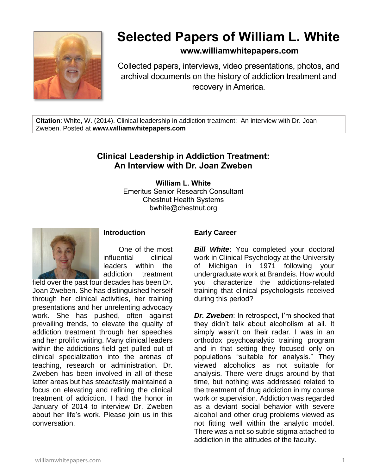

# **Selected Papers of William L. White**

# **www.williamwhitepapers.com**

Collected papers, interviews, video presentations, photos, and archival documents on the history of addiction treatment and recovery in America.

**Citation**: White, W. (2014). Clinical leadership in addiction treatment: An interview with Dr. Joan Zweben. Posted at **www.williamwhitepapers.com**

# **Clinical Leadership in Addiction Treatment: An Interview with Dr. Joan Zweben**

**William L. White** Emeritus Senior Research Consultant Chestnut Health Systems bwhite@chestnut.org



**Introduction**

One of the most influential clinical leaders within the addiction treatment

field over the past four decades has been Dr. Joan Zweben. She has distinguished herself through her clinical activities, her training presentations and her unrelenting advocacy work. She has pushed, often against prevailing trends, to elevate the quality of addiction treatment through her speeches and her prolific writing. Many clinical leaders within the addictions field get pulled out of clinical specialization into the arenas of teaching, research or administration. Dr. Zweben has been involved in all of these latter areas but has steadfastly maintained a focus on elevating and refining the clinical treatment of addiction. I had the honor in January of 2014 to interview Dr. Zweben about her life's work. Please join us in this conversation.

#### **Early Career**

**Bill White:** You completed your doctoral work in Clinical Psychology at the University of Michigan in 1971 following your undergraduate work at Brandeis. How would you characterize the addictions-related training that clinical psychologists received during this period?

*Dr. Zweben*: In retrospect, I'm shocked that they didn't talk about alcoholism at all. It simply wasn't on their radar. I was in an orthodox psychoanalytic training program and in that setting they focused only on populations "suitable for analysis." They viewed alcoholics as not suitable for analysis. There were drugs around by that time, but nothing was addressed related to the treatment of drug addiction in my course work or supervision. Addiction was regarded as a deviant social behavior with severe alcohol and other drug problems viewed as not fitting well within the analytic model. There was a not so subtle stigma attached to addiction in the attitudes of the faculty.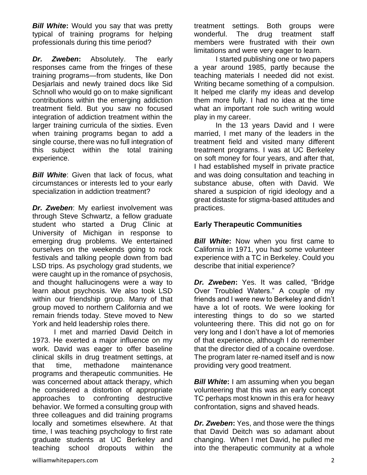*Bill White***:** Would you say that was pretty typical of training programs for helping professionals during this time period?

*Dr. Zweben***:** Absolutely. The early responses came from the fringes of these training programs—from students, like Don Desjarlais and newly trained docs like Sid Schnoll who would go on to make significant contributions within the emerging addiction treatment field. But you saw no focused integration of addiction treatment within the larger training curricula of the sixties. Even when training programs began to add a single course, there was no full integration of this subject within the total training experience.

**Bill White:** Given that lack of focus, what circumstances or interests led to your early specialization in addiction treatment?

*Dr. Zweben*: My earliest involvement was through Steve Schwartz, a fellow graduate student who started a Drug Clinic at University of Michigan in response to emerging drug problems. We entertained ourselves on the weekends going to rock festivals and talking people down from bad LSD trips. As psychology grad students, we were caught up in the romance of psychosis, and thought hallucinogens were a way to learn about psychosis. We also took LSD within our friendship group. Many of that group moved to northern California and we remain friends today. Steve moved to New York and held leadership roles there.

I met and married David Deitch in 1973. He exerted a major influence on my work. David was eager to offer baseline clinical skills in drug treatment settings, at that time, methadone maintenance programs and therapeutic communities. He was concerned about attack therapy, which he considered a distortion of appropriate approaches to confronting destructive behavior. We formed a consulting group with three colleagues and did training programs locally and sometimes elsewhere. At that time, I was teaching psychology to first rate graduate students at UC Berkeley and teaching school dropouts within the

treatment settings. Both groups were wonderful. The drug treatment staff members were frustrated with their own limitations and were very eager to learn.

I started publishing one or two papers a year around 1985, partly because the teaching materials I needed did not exist. Writing became something of a compulsion. It helped me clarify my ideas and develop them more fully. I had no idea at the time what an important role such writing would play in my career.

In the 13 years David and I were married, I met many of the leaders in the treatment field and visited many different treatment programs. I was at UC Berkeley on soft money for four years, and after that, I had established myself in private practice and was doing consultation and teaching in substance abuse, often with David. We shared a suspicion of rigid ideology and a great distaste for stigma-based attitudes and practices.

## **Early Therapeutic Communities**

*Bill White:* Now when you first came to California in 1971, you had some volunteer experience with a TC in Berkeley. Could you describe that initial experience?

*Dr. Zweben***:** Yes. It was called, "Bridge Over Troubled Waters." A couple of my friends and I were new to Berkeley and didn't have a lot of roots. We were looking for interesting things to do so we started volunteering there. This did not go on for very long and I don't have a lot of memories of that experience, although I do remember that the director died of a cocaine overdose. The program later re-named itself and is now providing very good treatment.

*Bill White*: I am assuming when you began volunteering that this was an early concept TC perhaps most known in this era for heavy confrontation, signs and shaved heads.

*Dr. Zweben***:** Yes, and those were the things that David Deitch was so adamant about changing. When I met David, he pulled me into the therapeutic community at a whole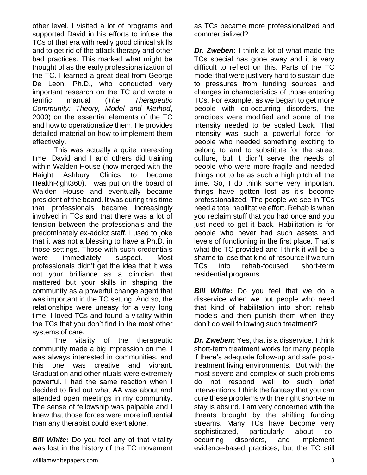other level. I visited a lot of programs and supported David in his efforts to infuse the TCs of that era with really good clinical skills and to get rid of the attack therapy and other bad practices. This marked what might be thought of as the early professionalization of the TC. I learned a great deal from George De Leon, Ph.D., who conducted very important research on the TC and wrote a terrific manual (*The Therapeutic Community: Theory, Model and Method*, 2000) on the essential elements of the TC and how to operationalize them. He provides detailed material on how to implement them effectively.

This was actually a quite interesting time. David and I and others did training within Walden House (now merged with the Haight Ashbury Clinics to become HealthRight360). I was put on the board of Walden House and eventually became president of the board. It was during this time that professionals became increasingly involved in TCs and that there was a lot of tension between the professionals and the predominately ex-addict staff. I used to joke that it was not a blessing to have a Ph.D. in those settings. Those with such credentials were immediately suspect. Most professionals didn't get the idea that it was not your brilliance as a clinician that mattered but your skills in shaping the community as a powerful change agent that was important in the TC setting. And so, the relationships were uneasy for a very long time. I loved TCs and found a vitality within the TCs that you don't find in the most other systems of care.

The vitality of the therapeutic community made a big impression on me. I was always interested in communities, and this one was creative and vibrant. Graduation and other rituals were extremely powerful. I had the same reaction when I decided to find out what AA was about and attended open meetings in my community. The sense of fellowship was palpable and I knew that those forces were more influential than any therapist could exert alone.

*Bill White***:** Do you feel any of that vitality was lost in the history of the TC movement as TCs became more professionalized and commercialized?

*Dr. Zweben***:** I think a lot of what made the TCs special has gone away and it is very difficult to reflect on this. Parts of the TC model that were just very hard to sustain due to pressures from funding sources and changes in characteristics of those entering TCs. For example, as we began to get more people with co-occurring disorders, the practices were modified and some of the intensity needed to be scaled back. That intensity was such a powerful force for people who needed something exciting to belong to and to substitute for the street culture, but it didn't serve the needs of people who were more fragile and needed things not to be as such a high pitch all the time. So, I do think some very important things have gotten lost as it's become professionalized. The people we see in TCs need a total habilitative effort. Rehab is when you reclaim stuff that you had once and you just need to get it back. Habilitation is for people who never had such assets and levels of functioning in the first place. That's what the TC provided and I think it will be a shame to lose that kind of resource if we turn TCs into rehab-focused, short-term residential programs.

*Bill White***:** Do you feel that we do a disservice when we put people who need that kind of habilitation into short rehab models and then punish them when they don't do well following such treatment?

*Dr. Zweben***:** Yes, that is a disservice. I think short-term treatment works for many people if there's adequate follow-up and safe posttreatment living environments. But with the most severe and complex of such problems do not respond well to such brief interventions. I think the fantasy that you can cure these problems with the right short-term stay is absurd. I am very concerned with the threats brought by the shifting funding streams. Many TCs have become very sophisticated, particularly about cooccurring disorders, and implement evidence-based practices, but the TC still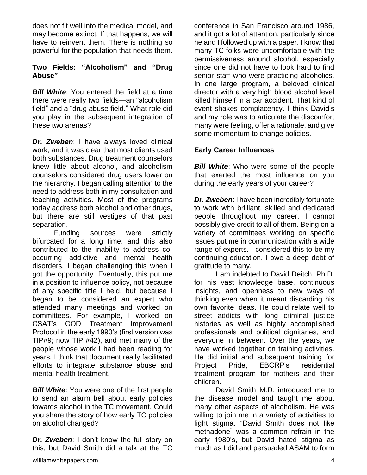does not fit well into the medical model, and may become extinct. If that happens, we will have to reinvent them. There is nothing so powerful for the population that needs them.

#### **Two Fields: "Alcoholism" and "Drug Abuse"**

**Bill White:** You entered the field at a time there were really two fields—an "alcoholism field" and a "drug abuse field." What role did you play in the subsequent integration of these two arenas?

*Dr. Zweben*: I have always loved clinical work, and it was clear that most clients used both substances. Drug treatment counselors knew little about alcohol, and alcoholism counselors considered drug users lower on the hierarchy. I began calling attention to the need to address both in my consultation and teaching activities. Most of the programs today address both alcohol and other drugs, but there are still vestiges of that past separation.

Funding sources were strictly bifurcated for a long time, and this also contributed to the inability to address cooccurring addictive and mental health disorders. I began challenging this when I got the opportunity. Eventually, this put me in a position to influence policy, not because of any specific title I held, but because I began to be considered an expert who attended many meetings and worked on committees. For example, I worked on CSAT's COD Treatment Improvement Protocol in the early 1990's (first version was TIP#9; now [TIP #42\)](http://store.samhsa.gov/product/TIP-42-Substance-Abuse-Treatment-for-Persons-With-Co-Occurring-Disorders/SMA13-3992), and met many of the people whose work I had been reading for years. I think that document really facilitated efforts to integrate substance abuse and mental health treatment.

**Bill White:** You were one of the first people to send an alarm bell about early policies towards alcohol in the TC movement. Could you share the story of how early TC policies on alcohol changed?

*Dr. Zweben*: I don't know the full story on this, but David Smith did a talk at the TC conference in San Francisco around 1986, and it got a lot of attention, particularly since he and I followed up with a paper. I know that many TC folks were uncomfortable with the permissiveness around alcohol, especially since one did not have to look hard to find senior staff who were practicing alcoholics. In one large program, a beloved clinical director with a very high blood alcohol level killed himself in a car accident. That kind of event shakes complacency. I think David's and my role was to articulate the discomfort many were feeling, offer a rationale, and give some momentum to change policies.

## **Early Career Influences**

*Bill White:* Who were some of the people that exerted the most influence on you during the early years of your career?

*Dr. Zweben*: I have been incredibly fortunate to work with brilliant, skilled and dedicated people throughout my career. I cannot possibly give credit to all of them. Being on a variety of committees working on specific issues put me in communication with a wide range of experts. I considered this to be my continuing education. I owe a deep debt of gratitude to many.

I am indebted to David Deitch, Ph.D. for his vast knowledge base, continuous insights, and openness to new ways of thinking even when it meant discarding his own favorite ideas. He could relate well to street addicts with long criminal justice histories as well as highly accomplished professionals and political dignitaries, and everyone in between. Over the years, we have worked together on training activities. He did initial and subsequent training for Project Pride, EBCRP's residential treatment program for mothers and their children.

David Smith M.D. introduced me to the disease model and taught me about many other aspects of alcoholism. He was willing to join me in a variety of activities to fight stigma. "David Smith does not like methadone" was a common refrain in the early 1980's, but David hated stigma as much as I did and persuaded ASAM to form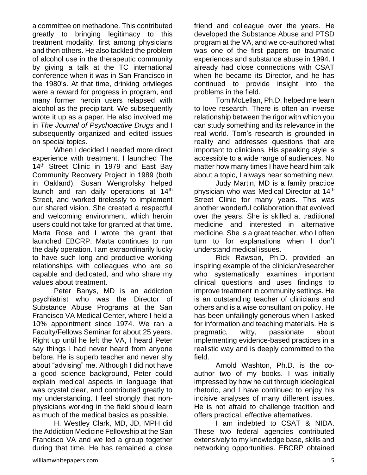a committee on methadone. This contributed greatly to bringing legitimacy to this treatment modality, first among physicians and then others. He also tackled the problem of alcohol use in the therapeutic community by giving a talk at the TC international conference when it was in San Francisco in the 1980's. At that time, drinking privileges were a reward for progress in program, and many former heroin users relapsed with alcohol as the precipitant. We subsequently wrote it up as a paper. He also involved me in *The Journal of Psychoactive Drugs* and I subsequently organized and edited issues on special topics.

When I decided I needed more direct experience with treatment, I launched The 14<sup>th</sup> Street Clinic in 1979 and East Bay Community Recovery Project in 1989 (both in Oakland). Susan Wengrofsky helped launch and ran daily operations at 14<sup>th</sup> Street, and worked tirelessly to implement our shared vision. She created a respectful and welcoming environment, which heroin users could not take for granted at that time. Marta Rose and I wrote the grant that launched EBCRP. Marta continues to run the daily operation. I am extraordinarily lucky to have such long and productive working relationships with colleagues who are so capable and dedicated, and who share my values about treatment.

Peter Banys, MD is an addiction psychiatrist who was the Director of Substance Abuse Programs at the San Francisco VA Medical Center, where I held a 10% appointment since 1974. We ran a Faculty/Fellows Seminar for about 25 years. Right up until he left the VA, I heard Peter say things I had never heard from anyone before. He is superb teacher and never shy about "advising" me. Although I did not have a good science background, Peter could explain medical aspects in language that was crystal clear, and contributed greatly to my understanding. I feel strongly that nonphysicians working in the field should learn as much of the medical basics as possible.

H. Westley Clark, MD, JD, MPH did the Addiction Medicine Fellowship at the San Francisco VA and we led a group together during that time. He has remained a close

developed the Substance Abuse and PTSD program at the VA, and we co-authored what was one of the first papers on traumatic experiences and substance abuse in 1994. I already had close connections with CSAT when he became its Director, and he has continued to provide insight into the problems in the field. Tom McLellan, Ph.D. helped me learn

friend and colleague over the years. He

to love research. There is often an inverse relationship between the rigor with which you can study something and its relevance in the real world. Tom's research is grounded in reality and addresses questions that are important to clinicians. His speaking style is accessible to a wide range of audiences. No matter how many times I have heard him talk about a topic, I always hear something new.

Judy Martin, MD is a family practice physician who was Medical Director at 14<sup>th</sup> Street Clinic for many years. This was another wonderful collaboration that evolved over the years. She is skilled at traditional medicine and interested in alternative medicine. She is a great teacher, who I often turn to for explanations when I don't understand medical issues.

Rick Rawson, Ph.D. provided an inspiring example of the clinician/researcher who systematically examines important clinical questions and uses findings to improve treatment in community settings. He is an outstanding teacher of clinicians and others and is a wise consultant on policy. He has been unfailingly generous when I asked for information and teaching materials. He is pragmatic, witty, passionate about implementing evidence-based practices in a realistic way and is deeply committed to the field.

Arnold Washton, Ph.D. is the coauthor two of my books. I was initially impressed by how he cut through ideological rhetoric, and I have continued to enjoy his incisive analyses of many different issues. He is not afraid to challenge tradition and offers practical, effective alternatives.

I am indebted to CSAT & NIDA. These two federal agencies contributed extensively to my knowledge base, skills and networking opportunities. EBCRP obtained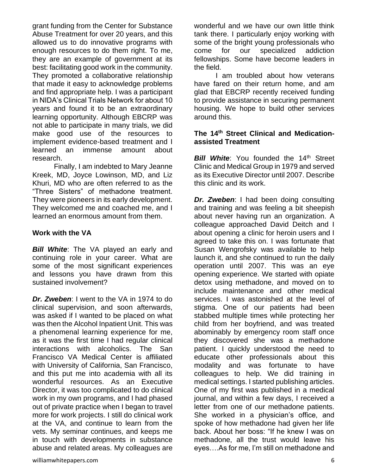grant funding from the Center for Substance Abuse Treatment for over 20 years, and this allowed us to do innovative programs with enough resources to do them right. To me, they are an example of government at its best: facilitating good work in the community. They promoted a collaborative relationship that made it easy to acknowledge problems and find appropriate help. I was a participant in NIDA's Clinical Trials Network for about 10 years and found it to be an extraordinary learning opportunity. Although EBCRP was not able to participate in many trials, we did make good use of the resources to implement evidence-based treatment and I learned an immense amount about research.

Finally, I am indebted to Mary Jeanne Kreek, MD, Joyce Lowinson, MD, and Liz Khuri, MD who are often referred to as the "Three Sisters" of methadone treatment. They were pioneers in its early development. They welcomed me and coached me, and I learned an enormous amount from them.

#### **Work with the VA**

*Bill White*: The VA played an early and continuing role in your career. What are some of the most significant experiences and lessons you have drawn from this sustained involvement?

*Dr. Zweben*: I went to the VA in 1974 to do clinical supervision, and soon afterwards, was asked if I wanted to be placed on what was then the Alcohol Inpatient Unit. This was a phenomenal learning experience for me, as it was the first time I had regular clinical interactions with alcoholics. The San Francisco VA Medical Center is affiliated with University of California, San Francisco, and this put me into academia with all its wonderful resources. As an Executive Director, it was too complicated to do clinical work in my own programs, and I had phased out of private practice when I began to travel more for work projects. I still do clinical work at the VA, and continue to learn from the vets. My seminar continues, and keeps me in touch with developments in substance abuse and related areas. My colleagues are

wonderful and we have our own little think tank there. I particularly enjoy working with some of the bright young professionals who come for our specialized addiction fellowships. Some have become leaders in the field.

I am troubled about how veterans have fared on their return home, and am glad that EBCRP recently received funding to provide assistance in securing permanent housing. We hope to build other services around this.

#### **The 14th Street Clinical and Medicationassisted Treatment**

**Bill White:** You founded the 14<sup>th</sup> Street Clinic and Medical Group in 1979 and served as its Executive Director until 2007. Describe this clinic and its work.

*Dr. Zweben*: I had been doing consulting and training and was feeling a bit sheepish about never having run an organization. A colleague approached David Deitch and I about opening a clinic for heroin users and I agreed to take this on. I was fortunate that Susan Wengrofsky was available to help launch it, and she continued to run the daily operation until 2007. This was an eye opening experience. We started with opiate detox using methadone, and moved on to include maintenance and other medical services. I was astonished at the level of stigma. One of our patients had been stabbed multiple times while protecting her child from her boyfriend, and was treated abominably by emergency room staff once they discovered she was a methadone patient. I quickly understood the need to educate other professionals about this modality and was fortunate to have colleagues to help. We did training in medical settings. I started publishing articles. One of my first was published in a medical journal, and within a few days, I received a letter from one of our methadone patients. She worked in a physician's office, and spoke of how methadone had given her life back. About her boss: "If he knew I was on methadone, all the trust would leave his eyes….As for me, I'm still on methadone and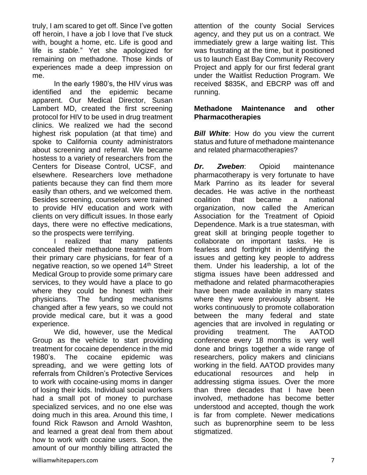truly, I am scared to get off. Since I've gotten off heroin, I have a job I love that I've stuck with, bought a home, etc. Life is good and life is *stable.*" Yet she apologized for remaining on methadone. Those kinds of experiences made a deep impression on me.

In the early 1980's, the HIV virus was identified and the epidemic became apparent. Our Medical Director, Susan Lambert MD, created the first screening protocol for HIV to be used in drug treatment clinics. We realized we had the second highest risk population (at that time) and spoke to California county administrators about screening and referral. We became hostess to a variety of researchers from the Centers for Disease Control, UCSF, and elsewhere. Researchers love methadone patients because they can find them more easily than others, and we welcomed them. Besides screening, counselors were trained to provide HIV education and work with clients on very difficult issues. In those early days, there were no effective medications, so the prospects were terrifying.

I realized that many patients concealed their methadone treatment from their primary care physicians, for fear of a negative reaction, so we opened 14<sup>th</sup> Street Medical Group to provide some primary care services, to they would have a place to go where they could be honest with their physicians. The funding mechanisms changed after a few years, so we could not provide medical care, but it was a good experience.

We did, however, use the Medical Group as the vehicle to start providing treatment for cocaine dependence in the mid 1980's. The cocaine epidemic was spreading, and we were getting lots of referrals from Children's Protective Services to work with cocaine-using moms in danger of losing their kids. Individual social workers had a small pot of money to purchase specialized services, and no one else was doing much in this area. Around this time, I found Rick Rawson and Arnold Washton, and learned a great deal from them about how to work with cocaine users. Soon, the amount of our monthly billing attracted the

attention of the county Social Services agency, and they put us on a contract. We immediately grew a large waiting list. This was frustrating at the time, but it positioned us to launch East Bay Community Recovery Project and apply for our first federal grant under the Waitlist Reduction Program. We received \$835K, and EBCRP was off and running.

#### **Methadone Maintenance and other Pharmacotherapies**

*Bill White*: How do you view the current status and future of methadone maintenance and related pharmacotherapies?

*Dr. Zweben*: Opioid maintenance pharmacotherapy is very fortunate to have Mark Parrino as its leader for several decades. He was active in the northeast coalition that became a national organization, now called the American Association for the Treatment of Opioid Dependence. Mark is a true statesman, with great skill at bringing people together to collaborate on important tasks. He is fearless and forthright in identifying the issues and getting key people to address them. Under his leadership, a lot of the stigma issues have been addressed and methadone and related pharmacotherapies have been made available in many states where they were previously absent. He works continuously to promote collaboration between the many federal and state agencies that are involved in regulating or providing treatment. The AATOD conference every 18 months is very well done and brings together a wide range of researchers, policy makers and clinicians working in the field. AATOD provides many educational resources and help in addressing stigma issues. Over the more than three decades that I have been involved, methadone has become better understood and accepted, though the work is far from complete. Newer medications such as buprenorphine seem to be less stigmatized.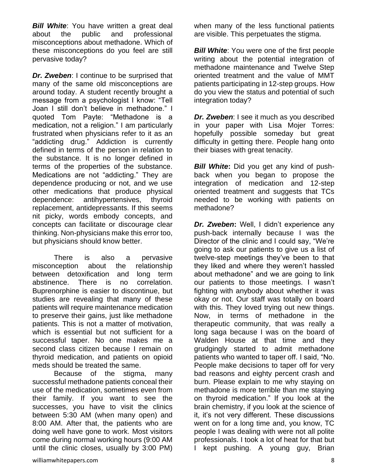*Bill White*: You have written a great deal about the public and professional misconceptions about methadone. Which of these misconceptions do you feel are still pervasive today?

*Dr. Zweben*: I continue to be surprised that many of the same old misconceptions are around today. A student recently brought a message from a psychologist I know: "Tell Joan I still don't believe in methadone." I quoted Tom Payte: "Methadone is a medication, not a religion." I am particularly frustrated when physicians refer to it as an "addicting drug." Addiction is currently defined in terms of the person in relation to the substance. It is no longer defined in terms of the properties of the substance. Medications are not "addicting." They are dependence producing or not, and we use other medications that produce physical dependence: antihypertensives, thyroid replacement, antidepressants. If this seems nit picky, words embody concepts, and concepts can facilitate or discourage clear thinking. Non-physicians make this error too, but physicians should know better.

There is also a pervasive misconception about the relationship between detoxification and long term abstinence. There is no correlation. Buprenorphine is easier to discontinue, but studies are revealing that many of these patients will require maintenance medication to preserve their gains, just like methadone patients. This is not a matter of motivation, which is essential but not sufficient for a successful taper. No one makes me a second class citizen because I remain on thyroid medication, and patients on opioid meds should be treated the same.

Because of the stigma, many successful methadone patients conceal their use of the medication, sometimes even from their family. If you want to see the successes, you have to visit the clinics between 5:30 AM (when many open) and 8:00 AM. After that, the patients who are doing well have gone to work. Most visitors come during normal working hours (9:00 AM until the clinic closes, usually by 3:00 PM) when many of the less functional patients are visible. This perpetuates the stigma.

*Bill White:* You were one of the first people writing about the potential integration of methadone maintenance and Twelve Step oriented treatment and the value of MMT patients participating in 12-step groups. How do you view the status and potential of such integration today?

*Dr. Zweben*: I see it much as you described in your paper with Lisa Mojer Torres: hopefully possible someday but great difficulty in getting there. People hang onto their biases with great tenacity.

*Bill White***:** Did you get any kind of pushback when you began to propose the integration of medication and 12-step oriented treatment and suggests that TCs needed to be working with patients on methadone?

*Dr. Zweben***:** Well, I didn't experience any push-back internally because I was the Director of the clinic and I could say, "We're going to ask our patients to give us a list of twelve-step meetings they've been to that they liked and where they weren't hassled about methadone" and we are going to link our patients to those meetings. I wasn't fighting with anybody about whether it was okay or not. Our staff was totally on board with this. They loved trying out new things. Now, in terms of methadone in the therapeutic community, that was really a long saga because I was on the board of Walden House at that time and they grudgingly started to admit methadone patients who wanted to taper off. I said, "No. People make decisions to taper off for very bad reasons and eighty percent crash and burn. Please explain to me why staying on methadone is more terrible than me staying on thyroid medication." If you look at the brain chemistry, if you look at the science of it, it's not very different. These discussions went on for a long time and, you know, TC people I was dealing with were not all polite professionals. I took a lot of heat for that but I kept pushing. A young guy, Brian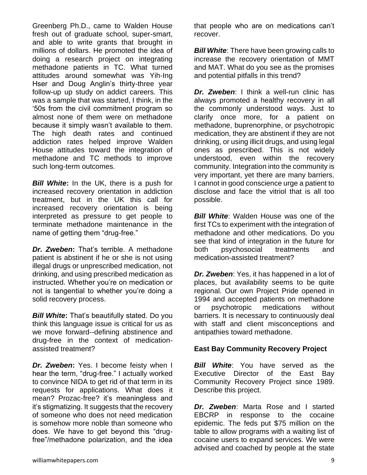Greenberg Ph.D., came to Walden House fresh out of graduate school, super-smart, and able to write grants that brought in millions of dollars. He promoted the idea of doing a research project on integrating methadone patients in TC. What turned attitudes around somewhat was Yih-Ing Hser and Doug Anglin's thirty-three year follow-up up study on addict careers. This was a sample that was started, I think, in the '50s from the civil commitment program so almost none of them were on methadone because it simply wasn't available to them. The high death rates and continued addiction rates helped improve Walden House attitudes toward the integration of methadone and TC methods to improve such long-term outcomes.

*Bill White***:** In the UK, there is a push for increased recovery orientation in addiction treatment, but in the UK this call for increased recovery orientation is being interpreted as pressure to get people to terminate methadone maintenance in the name of getting them "drug-free."

*Dr. Zweben***:** That's terrible. A methadone patient is abstinent if he or she is not using illegal drugs or unprescribed medication, not drinking, and using prescribed medication as instructed. Whether you're on medication or not is tangential to whether you're doing a solid recovery process.

*Bill White***:** That's beautifully stated. Do you think this language issue is critical for us as we move forward--defining abstinence and drug-free in the context of medicationassisted treatment?

*Dr. Zweben***:** Yes. I become feisty when I hear the term, "drug-free." I actually worked to convince NIDA to get rid of that term in its requests for applications. What does it mean? Prozac-free? it's meaningless and it's stigmatizing. It suggests that the recovery of someone who does not need medication is somehow more noble than someone who does. We have to get beyond this "drugfree"/methadone polarization, and the idea

that people who are on medications can't recover.

*Bill White*: There have been growing calls to increase the recovery orientation of MMT and MAT. What do you see as the promises and potential pitfalls in this trend?

*Dr. Zweben*: I think a well-run clinic has always promoted a healthy recovery in all the commonly understood ways. Just to clarify once more, for a patient on methadone, buprenorphine, or psychotropic medication, they are abstinent if they are not drinking, or using illicit drugs, and using legal ones as prescribed. This is not widely understood, even within the recovery community. Integration into the community is very important, yet there are many barriers. I cannot in good conscience urge a patient to disclose and face the vitriol that is all too possible.

*Bill White:* Walden House was one of the first TCs to experiment with the integration of methadone and other medications. Do you see that kind of integration in the future for both psychosocial treatments and medication-assisted treatment?

*Dr. Zweben*: Yes, it has happened in a lot of places, but availability seems to be quite regional. Our own Project Pride opened in 1994 and accepted patients on methadone or psychotropic medications without barriers. It is necessary to continuously deal with staff and client misconceptions and antipathies toward methadone.

## **East Bay Community Recovery Project**

*Bill White*: You have served as the Executive Director of the East Bay Community Recovery Project since 1989. Describe this project.

*Dr. Zweben*: Marta Rose and I started EBCRP in response to the cocaine epidemic. The feds put \$75 million on the table to allow programs with a waiting list of cocaine users to expand services. We were advised and coached by people at the state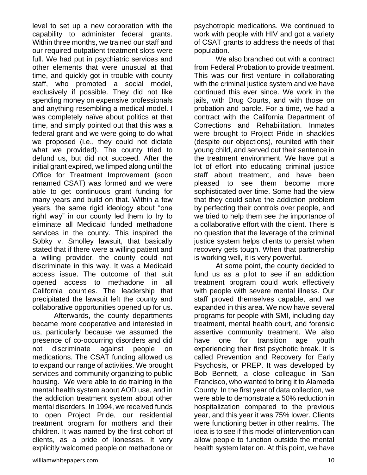level to set up a new corporation with the capability to administer federal grants. Within three months, we trained our staff and our required outpatient treatment slots were full. We had put in psychiatric services and other elements that were unusual at that time, and quickly got in trouble with county staff, who promoted a social model, exclusively if possible. They did not like spending money on expensive professionals and anything resembling a medical model. I was completely naïve about politics at that time, and simply pointed out that this was a federal grant and we were going to do what we proposed (i.e., they could not dictate what we provided). The county tried to defund us, but did not succeed. After the initial grant expired, we limped along until the Office for Treatment Improvement (soon renamed CSAT) was formed and we were able to get continuous grant funding for many years and build on that. Within a few years, the same rigid ideology about "one right way" in our county led them to try to eliminate all Medicaid funded methadone services in the county. This inspired the Sobky v. Smolley lawsuit, that basically stated that if there were a willing patient and a willing provider, the county could not discriminate in this way. It was a Medicaid access issue. The outcome of that suit opened access to methadone in all California counties. The leadership that precipitated the lawsuit left the county and collaborative opportunities opened up for us.

Afterwards, the county departments became more cooperative and interested in us, particularly because we assumed the presence of co-occurring disorders and did not discriminate against people on medications. The CSAT funding allowed us to expand our range of activities. We brought services and community organizing to public housing. We were able to do training in the mental health system about AOD use, and in the addiction treatment system about other mental disorders. In 1994, we received funds to open Project Pride, our residential treatment program for mothers and their children. It was named by the first cohort of clients, as a pride of lionesses. It very explicitly welcomed people on methadone or

We also branched out with a contract from Federal Probation to provide treatment. This was our first venture in collaborating with the criminal justice system and we have continued this ever since. We work in the jails, with Drug Courts, and with those on probation and parole. For a time, we had a contract with the California Department of Corrections and Rehabilitation. Inmates were brought to Project Pride in shackles (despite our objections), reunited with their young child, and served out their sentence in the treatment environment. We have put a lot of effort into educating criminal justice staff about treatment, and have been pleased to see them become more sophisticated over time. Some had the view that they could solve the addiction problem by perfecting their controls over people, and we tried to help them see the importance of a collaborative effort with the client. There is no question that the leverage of the criminal justice system helps clients to persist when recovery gets tough. When that partnership is working well, it is very powerful.

At some point, the county decided to fund us as a pilot to see if an addiction treatment program could work effectively with people with severe mental illness. Our staff proved themselves capable, and we expanded in this area. We now have several programs for people with SMI, including day treatment, mental health court, and forensic assertive community treatment. We also have one for transition age youth experiencing their first psychotic break. It is called Prevention and Recovery for Early Psychosis, or PREP. It was developed by Bob Bennett, a close colleague in San Francisco, who wanted to bring it to Alameda County. In the first year of data collection, we were able to demonstrate a 50% reduction in hospitalization compared to the previous year, and this year it was 75% lower. Clients were functioning better in other realms. The idea is to see if this model of intervention can allow people to function outside the mental health system later on. At this point, we have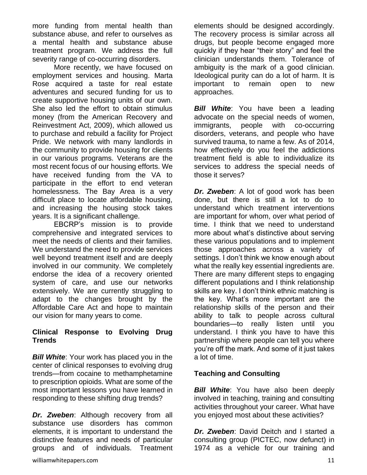more funding from mental health than substance abuse, and refer to ourselves as a mental health and substance abuse treatment program. We address the full severity range of co-occurring disorders.

More recently, we have focused on employment services and housing. Marta Rose acquired a taste for real estate adventures and secured funding for us to create supportive housing units of our own. She also led the effort to obtain stimulus money (from the American Recovery and Reinvestment Act, 2009), which allowed us to purchase and rebuild a facility for Project Pride. We network with many landlords in the community to provide housing for clients in our various programs. Veterans are the most recent focus of our housing efforts. We have received funding from the VA to participate in the effort to end veteran homelessness. The Bay Area is a very difficult place to locate affordable housing, and increasing the housing stock takes years. It is a significant challenge.

EBCRP's mission is to provide comprehensive and integrated services to meet the needs of clients and their families. We understand the need to provide services well beyond treatment itself and are deeply involved in our community. We completely endorse the idea of a recovery oriented system of care, and use our networks extensively. We are currently struggling to adapt to the changes brought by the Affordable Care Act and hope to maintain our vision for many years to come.

#### **Clinical Response to Evolving Drug Trends**

**Bill White:** Your work has placed you in the center of clinical responses to evolving drug trends—from cocaine to methamphetamine to prescription opioids. What are some of the most important lessons you have learned in responding to these shifting drug trends?

*Dr. Zweben*: Although recovery from all substance use disorders has common elements, it is important to understand the distinctive features and needs of particular groups and of individuals. Treatment elements should be designed accordingly. The recovery process is similar across all drugs, but people become engaged more quickly if they hear "their story" and feel the clinician understands them. Tolerance of ambiguity is the mark of a good clinician. Ideological purity can do a lot of harm. It is important to remain open to new approaches.

*Bill White*: You have been a leading advocate on the special needs of women, immigrants, people with co-occurring disorders, veterans, and people who have survived trauma, to name a few. As of 2014, how effectively do you feel the addictions treatment field is able to individualize its services to address the special needs of those it serves?

*Dr. Zweben*: A lot of good work has been done, but there is still a lot to do to understand which treatment interventions are important for whom, over what period of time. I think that we need to understand more about what's distinctive about serving these various populations and to implement those approaches across a variety of settings. I don't think we know enough about what the really key essential ingredients are. There are many different steps to engaging different populations and I think relationship skills are key. I don't think ethnic matching is the key. What's more important are the relationship skills of the person and their ability to talk to people across cultural boundaries—to really listen until you understand. I think you have to have this partnership where people can tell you where you're off the mark. And some of it just takes a lot of time.

## **Teaching and Consulting**

*Bill White*: You have also been deeply involved in teaching, training and consulting activities throughout your career. What have you enjoyed most about these activities?

*Dr. Zweben*: David Deitch and I started a consulting group (PICTEC, now defunct) in 1974 as a vehicle for our training and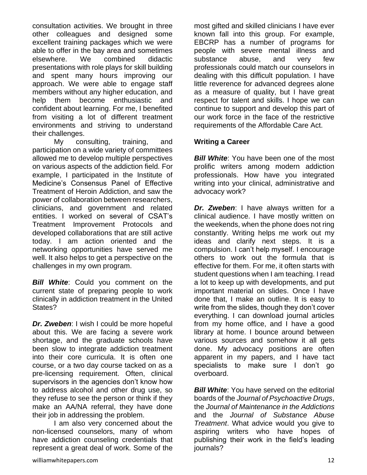consultation activities. We brought in three other colleagues and designed some excellent training packages which we were able to offer in the bay area and sometimes elsewhere. We combined didactic presentations with role plays for skill building and spent many hours improving our approach. We were able to engage staff members without any higher education, and help them become enthusiastic and confident about learning. For me, I benefited from visiting a lot of different treatment environments and striving to understand their challenges.

My consulting, training, and participation on a wide variety of committees allowed me to develop multiple perspectives on various aspects of the addiction field. For example, I participated in the Institute of Medicine's Consensus Panel of Effective Treatment of Heroin Addiction, and saw the power of collaboration between researchers, clinicians, and government and related entities. I worked on several of CSAT's Treatment Improvement Protocols and developed collaborations that are still active today. I am action oriented and the networking opportunities have served me well. It also helps to get a perspective on the challenges in my own program.

*Bill White*: Could you comment on the current state of preparing people to work clinically in addiction treatment in the United States?

*Dr. Zweben*: I wish I could be more hopeful about this. We are facing a severe work shortage, and the graduate schools have been slow to integrate addiction treatment into their core curricula. It is often one course, or a two day course tacked on as a pre-licensing requirement. Often, clinical supervisors in the agencies don't know how to address alcohol and other drug use, so they refuse to see the person or think if they make an AA/NA referral, they have done their job in addressing the problem.

I am also very concerned about the non-licensed counselors, many of whom have addiction counseling credentials that represent a great deal of work. Some of the

most gifted and skilled clinicians I have ever known fall into this group. For example, EBCRP has a number of programs for people with severe mental illness and substance abuse, and very few professionals could match our counselors in dealing with this difficult population. I have little reverence for advanced degrees alone as a measure of quality, but I have great respect for talent and skills. I hope we can continue to support and develop this part of our work force in the face of the restrictive requirements of the Affordable Care Act.

## **Writing a Career**

**Bill White:** You have been one of the most prolific writers among modern addiction professionals. How have you integrated writing into your clinical, administrative and advocacy work?

*Dr. Zweben*: I have always written for a clinical audience. I have mostly written on the weekends, when the phone does not ring constantly. Writing helps me work out my ideas and clarify next steps. It is a compulsion. I can't help myself. I encourage others to work out the formula that is effective for them. For me, it often starts with student questions when I am teaching. I read a lot to keep up with developments, and put important material on slides. Once I have done that, I make an outline. It is easy to write from the slides, though they don't cover everything. I can download journal articles from my home office, and I have a good library at home. I bounce around between various sources and somehow it all gets done. My advocacy positions are often apparent in my papers, and I have tact specialists to make sure I don't go overboard.

*Bill White:* You have served on the editorial boards of the *Journal of Psychoactive Drugs*, the *Journal of Maintenance in the Addictions* and the *Journal of Substance Abuse Treatment*. What advice would you give to aspiring writers who have hopes of publishing their work in the field's leading journals?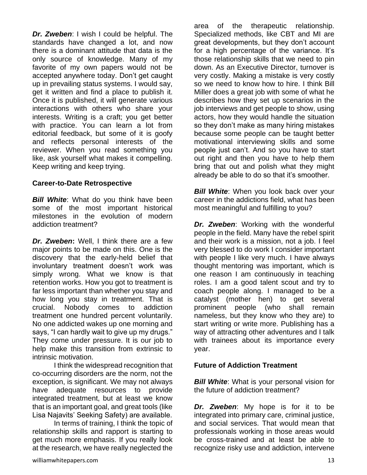*Dr. Zweben*: I wish I could be helpful. The standards have changed a lot, and now there is a dominant attitude that data is the only source of knowledge. Many of my favorite of my own papers would not be accepted anywhere today. Don't get caught up in prevailing status systems. I would say, get it written and find a place to publish it. Once it is published, it will generate various interactions with others who share your interests. Writing is a craft; you get better with practice. You can learn a lot from editorial feedback, but some of it is goofy and reflects personal interests of the reviewer. When you read something you like, ask yourself what makes it compelling. Keep writing and keep trying.

#### **Career-to-Date Retrospective**

**Bill White:** What do you think have been some of the most important historical milestones in the evolution of modern addiction treatment?

*Dr. Zweben***:** Well, I think there are a few major points to be made on this. One is the discovery that the early-held belief that involuntary treatment doesn't work was simply wrong. What we know is that retention works. How you got to treatment is far less important than whether you stay and how long you stay in treatment. That is crucial. Nobody comes to addiction treatment one hundred percent voluntarily. No one addicted wakes up one morning and says, "I can hardly wait to give up my drugs." They come under pressure. It is our job to help make this transition from extrinsic to intrinsic motivation.

I think the widespread recognition that co-occurring disorders are the norm, not the exception, is significant. We may not always have adequate resources to provide integrated treatment, but at least we know that is an important goal, and great tools (like Lisa Najavits' Seeking Safety) are available.

In terms of training, I think the topic of relationship skills and rapport is starting to get much more emphasis. If you really look at the research, we have really neglected the area of the therapeutic relationship. Specialized methods, like CBT and MI are great developments, but they don't account for a high percentage of the variance. It's those relationship skills that we need to pin down. As an Executive Director, turnover is very costly. Making a mistake is very costly so we need to know how to hire. I think Bill Miller does a great job with some of what he describes how they set up scenarios in the job interviews and get people to show, using actors, how they would handle the situation so they don't make as many hiring mistakes because some people can be taught better motivational interviewing skills and some people just can't. And so you have to start out right and then you have to help them bring that out and polish what they might already be able to do so that it's smoother.

*Bill White:* When you look back over your career in the addictions field, what has been most meaningful and fulfilling to you?

*Dr. Zweben*: Working with the wonderful people in the field. Many have the rebel spirit and their work is a mission, not a job. I feel very blessed to do work I consider important with people I like very much. I have always thought mentoring was important, which is one reason I am continuously in teaching roles. I am a good talent scout and try to coach people along. I managed to be a catalyst (mother hen) to get several prominent people (who shall remain nameless, but they know who they are) to start writing or write more. Publishing has a way of attracting other adventures and I talk with trainees about its importance every year.

#### **Future of Addiction Treatment**

**Bill White:** What is your personal vision for the future of addiction treatment?

*Dr. Zweben*: My hope is for it to be integrated into primary care, criminal justice, and social services. That would mean that professionals working in those areas would be cross-trained and at least be able to recognize risky use and addiction, intervene